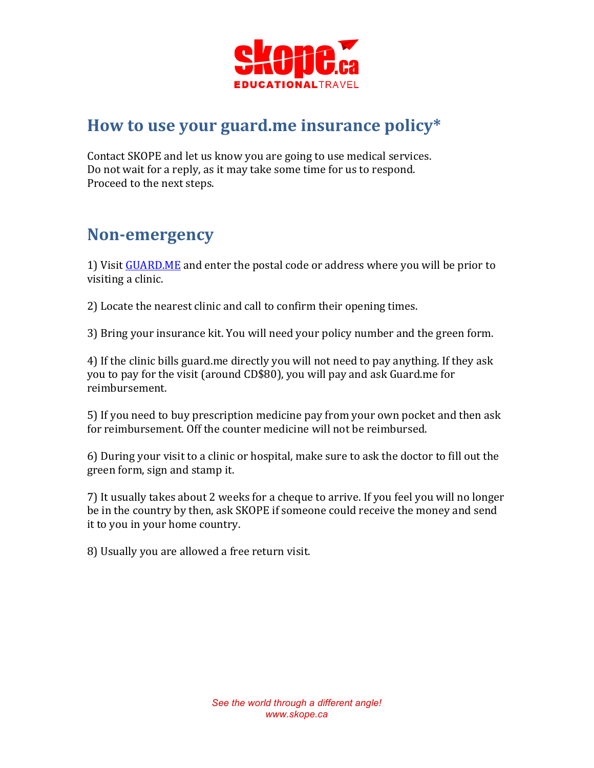

## How to use your guard.me insurance policy\*

Contact SKOPE and let us know you are going to use medical services. Do not wait for a reply, as it may take some time for us to respond. Proceed to the next steps.

### **Non-emergency**

1) Visit GUARD.ME and enter the postal code or address where you will be prior to visiting a clinic.

2) Locate the nearest clinic and call to confirm their opening times.

3) Bring your insurance kit. You will need your policy number and the green form.

4) If the clinic bills guard.me directly you will not need to pay anything. If they ask you to pay for the visit (around CD\$80), you will pay and ask Guard.me for reimbursement.

5) If you need to buy prescription medicine pay from your own pocket and then ask for reimbursement. Off the counter medicine will not be reimbursed.

6) During your visit to a clinic or hospital, make sure to ask the doctor to fill out the green form, sign and stamp it.

7) It usually takes about 2 weeks for a cheque to arrive. If you feel you will no longer be in the country by then, ask SKOPE if someone could receive the money and send it to you in your home country.

8) Usually you are allowed a free return visit.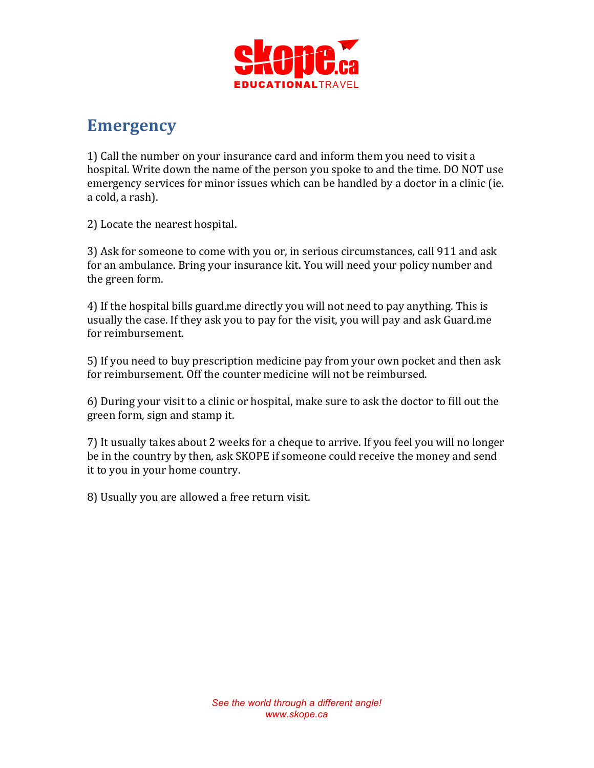

#### **Emergency**

1) Call the number on your insurance card and inform them you need to visit a hospital. Write down the name of the person you spoke to and the time. DO NOT use emergency services for minor issues which can be handled by a doctor in a clinic (ie. a cold, a rash).

2) Locate the nearest hospital.

3) Ask for someone to come with you or, in serious circumstances, call 911 and ask for an ambulance. Bring your insurance kit. You will need your policy number and the green form.

4) If the hospital bills guard.me directly you will not need to pay anything. This is usually the case. If they ask you to pay for the visit, you will pay and ask Guard.me for reimbursement.

5) If you need to buy prescription medicine pay from your own pocket and then ask for reimbursement. Off the counter medicine will not be reimbursed.

6) During your visit to a clinic or hospital, make sure to ask the doctor to fill out the green form, sign and stamp it.

7) It usually takes about 2 weeks for a cheque to arrive. If you feel you will no longer be in the country by then, ask SKOPE if someone could receive the money and send it to you in your home country.

8) Usually you are allowed a free return visit.